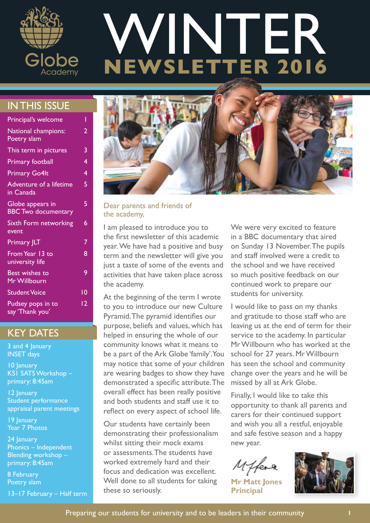

# WINTER **NEWSLETTER 2016**

### IN THIS ISSUE

| Principal's welcome                            | I  |
|------------------------------------------------|----|
| National champions:<br>Poetry slam             | 2  |
| This term in pictures                          | 3  |
| <b>Primary football</b>                        | 4  |
| <b>Primary Go4It</b>                           | 4  |
| Adventure of a lifetime<br>in Canada           | 5  |
| Globe appears in<br><b>BBC Two documentary</b> | 5  |
| Sixth Form networking<br>event                 | 6  |
| Primary  LT                                    | 7  |
| From Year 13 to<br>university life             | 8  |
| <b>Best wishes to</b><br>Mr Willbourn          | 9  |
| <b>Student Voice</b>                           | 10 |
| Pudsey pops in to<br>say 'Thank you'           | 12 |

### KEY DATES

3 and 4 January INSET days

10 January KS1 SATS Workshop – primary: 8:45am

12 January Student performance appraisal parent meetings

19 January Year 7 Photos

24 January Phonics – Independent Blending workshop – primary: 8:45am

8 February Poetry slam 13–17 February – Half term



#### Dear parents and friends of the academy,

I am pleased to introduce you to the first newsletter of this academic year. We have had a positive and busy term and the newsletter will give you just a taste of some of the events and activities that have taken place across the academy.

At the beginning of the term I wrote to you to introduce our new Culture Pyramid. The pyramid identifies our purpose, beliefs and values, which has helped in ensuring the whole of our community knows what it means to be a part of the Ark Globe 'family'. You may notice that some of your children are wearing badges to show they have demonstrated a specific attribute. The overall effect has been really positive and both students and staff use it to reflect on every aspect of school life.

Our students have certainly been demonstrating their professionalism whilst sitting their mock exams or assessments. The students have worked extremely hard and their focus and dedication was excellent. Well done to all students for taking these so seriously.

We were very excited to feature in a BBC documentary that aired on Sunday 13 November. The pupils and staff involved were a credit to the school and we have received so much positive feedback on our continued work to prepare our students for university.

I would like to pass on my thanks and gratitude to those staff who are leaving us at the end of term for their service to the academy. In particular Mr Willbourn who has worked at the school for 27 years. Mr Willbourn has seen the school and community change over the years and he will be missed by all at Ark Globe.

Finally, I would like to take this opportunity to thank all parents and carers for their continued support and wish you all a restful, enjoyable and safe festive season and a happy new year.

Miffera

**Mr Matt Jones Principal**

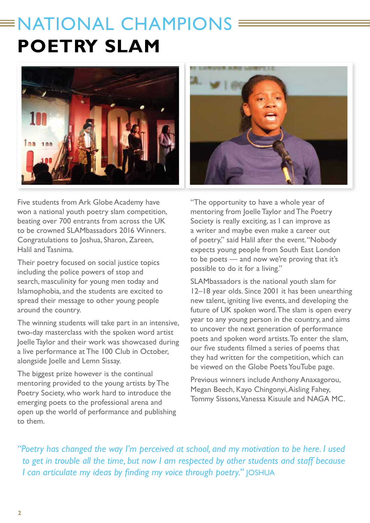# $\equiv$ NATIONAL CHAMPIONS **POETRY SLAM**



Five students from Ark Globe Academy have won a national youth poetry slam competition, beating over 700 entrants from across the UK to be crowned SLAMbassadors 2016 Winners. Congratulations to Joshua, Sharon, Zareen, Halil and Tasnima.

Their poetry focused on social justice topics including the police powers of stop and search, masculinity for young men today and Islamophobia, and the students are excited to spread their message to other young people around the country.

The winning students will take part in an intensive, two-day masterclass with the spoken word artist Joelle Taylor and their work was showcased during a live performance at The 100 Club in October, alongside Joelle and Lemn Sissay.

The biggest prize however is the continual mentoring provided to the young artists by The Poetry Society, who work hard to introduce the emerging poets to the professional arena and open up the world of performance and publishing to them.

"The opportunity to have a whole year of mentoring from Joelle Taylor and The Poetry Society is really exciting, as I can improve as a writer and maybe even make a career out of poetry," said Halil after the event. "Nobody expects young people from South East London to be poets — and now we're proving that it's possible to do it for a living."

SLAMbassadors is the national youth slam for 12–18 year olds. Since 2001 it has been unearthing new talent, igniting live events, and developing the future of UK spoken word. The slam is open every year to any young person in the country, and aims to uncover the next generation of performance poets and spoken word artists. To enter the slam, our five students filmed a series of poems that they had written for the competition, which can be viewed on the Globe Poets YouTube page.

Previous winners include Anthony Anaxagorou, Megan Beech, Kayo Chingonyi, Aisling Fahey, Tommy Sissons, Vanessa Kisuule and NAGA MC.

*"Poetry has changed the way I'm perceived at school, and my motivation to be here. I used to get in trouble all the time, but now I am respected by other students and staff because I can articulate my ideas by finding my voice through poetry."* JOSHUA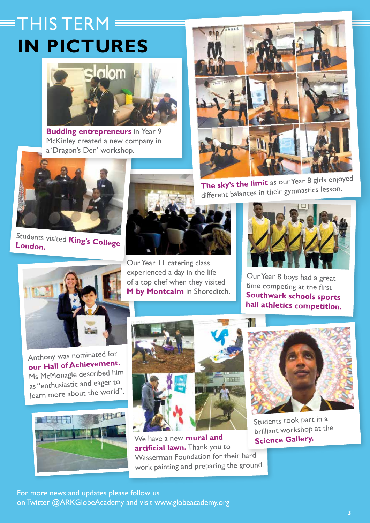# $\equiv$ THIS TERM  $\equiv$ **IN PICTURES**



**Budding entrepreneurs** in Year 9 McKinley created a new company in a 'Dragon's Den' workshop.



Students visited **King's College London.**



Our Year 11 catering class experienced a day in the life of a top chef when they visited **M by Montcalm** in Shoreditch.



**The sky's the limit** as our Year 8 girls enjoye<sup>d</sup> different balances in their gymnastics lesson.



Our Year 8 boys had a great time competing at the first **Southwark schools sports hall athletics competition.**



Anthony was nominated for **our Hall of Achievement.** Ms McMonagle described him as "enthusiastic and eager to learn more about the world".





We have a new **mural and artificial lawn.** Thank you to Wasserman Foundation for their hard work painting and preparing the ground.



Students took part in a brilliant workshop at the **Science Gallery.**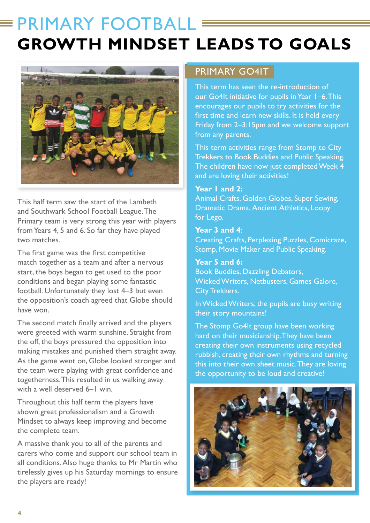# $\equiv$  PRIMARY FOOTBALL **GROWTH MINDSET LEADS TO GOALS**



This half term saw the start of the Lambeth and Southwark School Football League. The Primary team is very strong this year with players from Years 4, 5 and 6. So far they have played two matches.

The first game was the first competitive match together as a team and after a nervous start, the boys began to get used to the poor conditions and began playing some fantastic football. Unfortunately they lost 4–3 but even the opposition's coach agreed that Globe should have won.

The second match finally arrived and the players were greeted with warm sunshine. Straight from the off, the boys pressured the opposition into making mistakes and punished them straight away. As the game went on, Globe looked stronger and the team were playing with great confidence and togetherness. This resulted in us walking away with a well deserved 6–1 win.

Throughout this half term the players have shown great professionalism and a Growth Mindset to always keep improving and become the complete team.

A massive thank you to all of the parents and carers who come and support our school team in all conditions. Also huge thanks to Mr Martin who tirelessly gives up his Saturday mornings to ensure the players are ready!

### PRIMARY GO4IT

This term has seen the re-introduction of our Go4It initiative for pupils in Year 1–6. This encourages our pupils to try activities for the first time and learn new skills. It is held every Friday from 2–3:15pm and we welcome support from any parents.

This term activities range from Stomp to City Trekkers to Book Buddies and Public Speaking. The children have now just completed Week 4 and are loving their activities!

#### **Year 1 and 2:**

Animal Crafts, Golden Globes, Super Sewing, Dramatic Drama, Ancient Athletics, Loopy for Lego.

#### **Year 3 and 4**:

Creating Crafts, Perplexing Puzzles, Comicraze, Stomp, Movie Maker and Public Speaking.

#### **Year 5 and 6:**

Book Buddies, Dazzling Debators, Wicked Writers, Netbusters, Games Galore, City Trekkers.

In Wicked Writers, the pupils are busy writing their story mountains!

The Stomp Go4It group have been working hard on their musicianship. They have been creating their own instruments using recycled rubbish, creating their own rhythms and turning this into their own sheet music. They are loving the opportunity to be loud and creative!

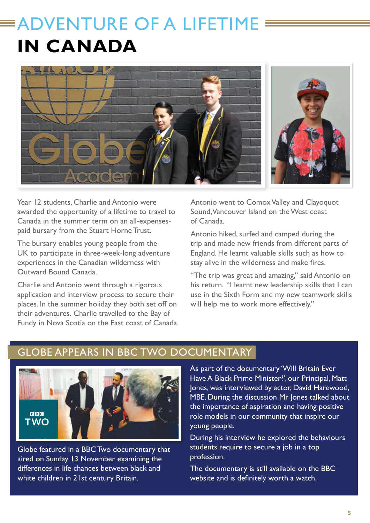# ADVENTURE OF A LIFETIME **IN CANADA**



Year 12 students, Charlie and Antonio were awarded the opportunity of a lifetime to travel to Canada in the summer term on an all-expensespaid bursary from the Stuart Horne Trust.

The bursary enables young people from the UK to participate in three-week-long adventure experiences in the Canadian wilderness with Outward Bound Canada.

Charlie and Antonio went through a rigorous application and interview process to secure their places. In the summer holiday they both set off on their adventures. Charlie travelled to the Bay of Fundy in Nova Scotia on the East coast of Canada. Antonio went to Comox Valley and Clayoquot Sound, Vancouver Island on the West coast of Canada.

Antonio hiked, surfed and camped during the trip and made new friends from different parts of England. He learnt valuable skills such as how to stay alive in the wilderness and make fires.

"The trip was great and amazing," said Antonio on his return. "I learnt new leadership skills that I can use in the Sixth Form and my new teamwork skills will help me to work more effectively."

### GLOBE APPEARS IN BBC TWO DOCUMENTARY



Globe featured in a BBC Two documentary that aired on Sunday 13 November examining the differences in life chances between black and white children in 21st century Britain.

As part of the documentary 'Will Britain Ever Have A Black Prime Minister?', our Principal, Matt Jones, was interviewed by actor, David Harewood, MBE. During the discussion Mr Jones talked about the importance of aspiration and having positive role models in our community that inspire our young people.

During his interview he explored the behaviours students require to secure a job in a top profession.

The documentary is still available on the BBC website and is definitely worth a watch.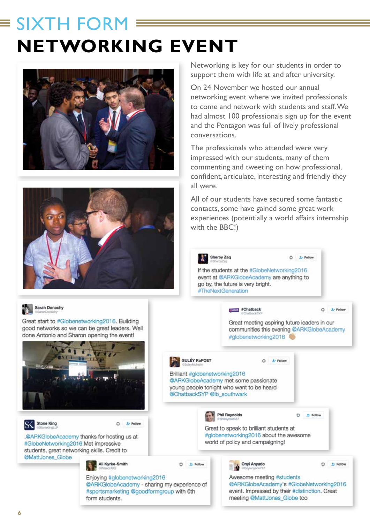# $\equiv$  SIXTH FORM  $\equiv$ **NETWORKING EVENT**





Networking is key for our students in order to support them with life at and after university.

On 24 November we hosted our annual networking event where we invited professionals to come and network with students and staff. We had almost 100 professionals sign up for the event and the Pentagon was full of lively professional conversations.

The professionals who attended were very impressed with our students, many of them commenting and tweeting on how professional, confident, articulate, interesting and friendly they all were.

All of our students have secured some fantastic contacts, some have gained some great work experiences (potentially a world affairs internship with the BBC!)

 $P_T = 0.5$  Ealls



Sheroy Zaq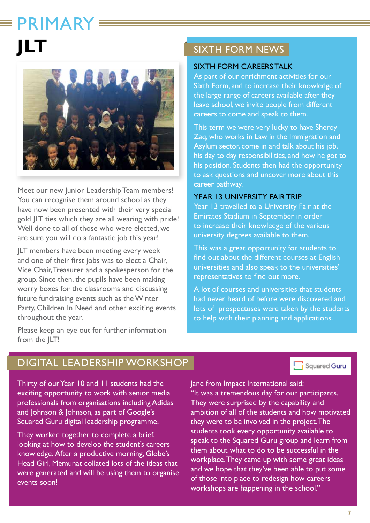# PRIMARY **JLT**



Meet our new Junior Leadership Team members! You can recognise them around school as they have now been presented with their very special gold JLT ties which they are all wearing with pride! Well done to all of those who were elected, we are sure you will do a fantastic job this year!

JLT members have been meeting every week and one of their first jobs was to elect a Chair, Vice Chair, Treasurer and a spokesperson for the group. Since then, the pupils have been making worry boxes for the classrooms and discussing future fundraising events such as the Winter Party, Children In Need and other exciting events throughout the year.

Please keep an eye out for further information from the JLT!

### SIXTH FORM NEWS

#### SIXTH FORM CAREERS TALK

As part of our enrichment activities for our Sixth Form, and to increase their knowledge of the large range of careers available after they leave school, we invite people from different careers to come and speak to them.

This term we were very lucky to have Sheroy Zaq, who works in Law in the Immigration and Asylum sector, come in and talk about his job, his day to day responsibilities, and how he got to his position. Students then had the opportunity to ask questions and uncover more about this career pathway.

#### YEAR 13 UNIVERSITY FAIR TRIP

Year 13 travelled to a University Fair at the Emirates Stadium in September in order to increase their knowledge of the various university degrees available to them.

This was a great opportunity for students to find out about the different courses at English universities and also speak to the universities' representatives to find out more.

A lot of courses and universities that students had never heard of before were discovered and lots of prospectuses were taken by the students to help with their planning and applications.

### DIGITAL LEADERSHIP WORKSHOP

Thirty of our Year 10 and 11 students had the exciting opportunity to work with senior media professionals from organisations including Adidas and Johnson & Johnson, as part of Google's Squared Guru digital leadership programme.

They worked together to complete a brief, looking at how to develop the student's careers knowledge. After a productive morning, Globe's Head Girl, Memunat collated lots of the ideas that were generated and will be using them to organise events soon!

Squared Guru

Jane from Impact International said: "It was a tremendous day for our participants. They were surprised by the capability and ambition of all of the students and how motivated they were to be involved in the project. The students took every opportunity available to speak to the Squared Guru group and learn from them about what to do to be successful in the workplace. They came up with some great ideas and we hope that they've been able to put some of those into place to redesign how careers workshops are happening in the school."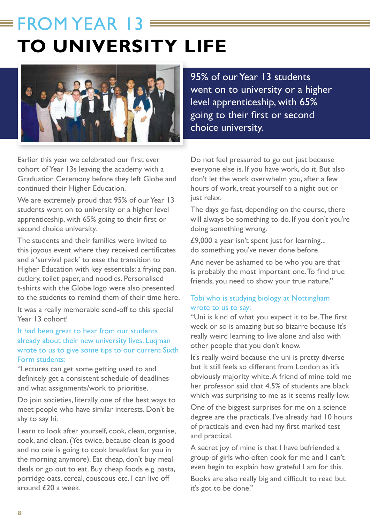# $\equiv$  FROM YEAR 1 **TO UNIVERSITY LIFE**



Earlier this year we celebrated our first ever cohort of Year 13s leaving the academy with a Graduation Ceremony before they left Globe and continued their Higher Education.

We are extremely proud that 95% of our Year 13 students went on to university or a higher level apprenticeship, with 65% going to their first or second choice university.

The students and their families were invited to this joyous event where they received certificates and a 'survival pack' to ease the transition to Higher Education with key essentials: a frying pan, cutlery, toilet paper, and noodles. Personalised t-shirts with the Globe logo were also presented to the students to remind them of their time here.

It was a really memorable send-off to this special Year 13 cohort!

### It had been great to hear from our students already about their new university lives. Luqman wrote to us to give some tips to our current Sixth Form students:

"Lectures can get some getting used to and definitely get a consistent schedule of deadlines and what assignments/work to prioritise.

Do join societies, literally one of the best ways to meet people who have similar interests. Don't be shy to say hi.

Learn to look after yourself, cook, clean, organise, cook, and clean. (Yes twice, because clean is good and no one is going to cook breakfast for you in the morning anymore). Eat cheap, don't buy meal deals or go out to eat. Buy cheap foods e.g. pasta, porridge oats, cereal, couscous etc. I can live off around £20 a week.

95% of our Year 13 students went on to university or a higher level apprenticeship, with 65% going to their first or second choice university.

Do not feel pressured to go out just because everyone else is. If you have work, do it. But also don't let the work overwhelm you, after a few hours of work, treat yourself to a night out or just relax.

The days go fast, depending on the course, there will always be something to do. If you don't you're doing something wrong.

£9,000 a year isn't spent just for learning... do something you've never done before.

And never be ashamed to be who you are that is probably the most important one. To find true friends, you need to show your true nature."

### Tobi who is studying biology at Nottingham wrote to us to say:

"Uni is kind of what you expect it to be. The first week or so is amazing but so bizarre because it's really weird learning to live alone and also with other people that you don't know.

It's really weird because the uni is pretty diverse but it still feels so different from London as it's obviously majority white. A friend of mine told me her professor said that 4.5% of students are black which was surprising to me as it seems really low.

One of the biggest surprises for me on a science degree are the practicals. I've already had 10 hours of practicals and even had my first marked test and practical.

A secret joy of mine is that I have befriended a group of girls who often cook for me and I can't even begin to explain how grateful I am for this.

Books are also really big and difficult to read but it's got to be done."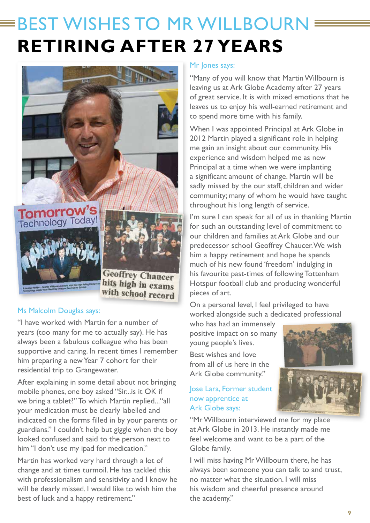# **BEST WISHES TO MR WILLBOURN = RETIRING AFTER 27 YEARS**



### Ms Malcolm Douglas says:

"I have worked with Martin for a number of years (too many for me to actually say). He has always been a fabulous colleague who has been supportive and caring. In recent times I remember him preparing a new Year 7 cohort for their residential trip to Grangewater.

After explaining in some detail about not bringing mobile phones, one boy asked "Sir...is it OK if we bring a tablet?" To which Martin replied..."all your medication must be clearly labelled and indicated on the forms filled in by your parents or guardians." I couldn't help but giggle when the boy looked confused and said to the person next to him "I don't use my ipad for medication."

Martin has worked very hard through a lot of change and at times turmoil. He has tackled this with professionalism and sensitivity and I know he will be dearly missed. I would like to wish him the best of luck and a happy retirement."

#### Mr Jones says:

"Many of you will know that Martin Willbourn is leaving us at Ark Globe Academy after 27 years of great service. It is with mixed emotions that he leaves us to enjoy his well-earned retirement and to spend more time with his family.

When I was appointed Principal at Ark Globe in 2012 Martin played a significant role in helping me gain an insight about our community. His experience and wisdom helped me as new Principal at a time when we were implanting a significant amount of change. Martin will be sadly missed by the our staff, children and wider community; many of whom he would have taught throughout his long length of service.

I'm sure I can speak for all of us in thanking Martin for such an outstanding level of commitment to our children and families at Ark Globe and our predecessor school Geoffrey Chaucer. We wish him a happy retirement and hope he spends much of his new found 'freedom' indulging in his favourite past-times of following Tottenham Hotspur football club and producing wonderful pieces of art.

On a personal level, I feel privileged to have worked alongside such a dedicated professional

who has had an immensely positive impact on so many young people's lives.

Best wishes and love from all of us here in the Ark Globe community."

#### Jose Lara, Former student now apprentice at Ark Globe says:

"Mr Willbourn interviewed me for my place at Ark Globe in 2013. He instantly made me feel welcome and want to be a part of the Globe family.

I will miss having Mr Willbourn there, he has always been someone you can talk to and trust, no matter what the situation. I will miss his wisdom and cheerful presence around the academy."



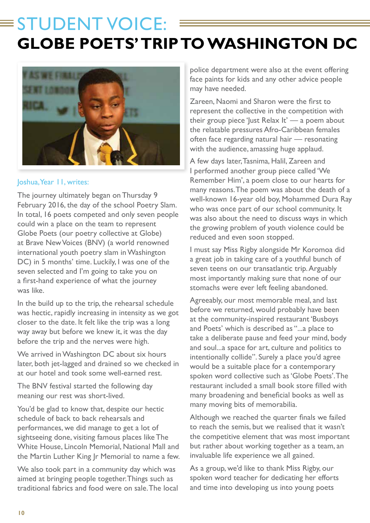# $\equiv$  STUDENT VOICE: **GLOBE POETS' TRIP TO WASHINGTON DC**



#### Joshua, Year 11, writes:

The journey ultimately began on Thursday 9 February 2016, the day of the school Poetry Slam. In total, 16 poets competed and only seven people could win a place on the team to represent Globe Poets (our poetry collective at Globe) at Brave New Voices (BNV) (a world renowned international youth poetry slam in Washington DC) in 5 months' time. Luckily, I was one of the seven selected and I'm going to take you on a first-hand experience of what the journey was like.

In the build up to the trip, the rehearsal schedule was hectic, rapidly increasing in intensity as we got closer to the date. It felt like the trip was a long way away but before we knew it, it was the day before the trip and the nerves were high.

We arrived in Washington DC about six hours later, both jet-lagged and drained so we checked in at our hotel and took some well-earned rest.

The BNV festival started the following day meaning our rest was short-lived.

You'd be glad to know that, despite our hectic schedule of back to back rehearsals and performances, we did manage to get a lot of sightseeing done, visiting famous places like The White House, Lincoln Memorial, National Mall and the Martin Luther King Jr Memorial to name a few.

We also took part in a community day which was aimed at bringing people together. Things such as traditional fabrics and food were on sale. The local police department were also at the event offering face paints for kids and any other advice people may have needed.

Zareen, Naomi and Sharon were the first to represent the collective in the competition with their group piece 'Just Relax It' — a poem about the relatable pressures Afro-Caribbean females often face regarding natural hair — resonating with the audience, amassing huge applaud.

A few days later, Tasnima, Halil, Zareen and I performed another group piece called 'We Remember Him', a poem close to our hearts for many reasons. The poem was about the death of a well-known 16-year old boy, Mohammed Dura Ray who was once part of our school community. It was also about the need to discuss ways in which the growing problem of youth violence could be reduced and even soon stopped.

I must say Miss Rigby alongside Mr Koromoa did a great job in taking care of a youthful bunch of seven teens on our transatlantic trip. Arguably most importantly making sure that none of our stomachs were ever left feeling abandoned.

Agreeably, our most memorable meal, and last before we returned, would probably have been at the community-inspired restaurant 'Busboys and Poets' which is described as "...a place to take a deliberate pause and feed your mind, body and soul...a space for art, culture and politics to intentionally collide". Surely a place you'd agree would be a suitable place for a contemporary spoken word collective such as 'Globe Poets'. The restaurant included a small book store filled with many broadening and beneficial books as well as many moving bits of memorabilia.

Although we reached the quarter finals we failed to reach the semis, but we realised that it wasn't the competitive element that was most important but rather about working together as a team, an invaluable life experience we all gained.

As a group, we'd like to thank Miss Rigby, our spoken word teacher for dedicating her efforts and time into developing us into young poets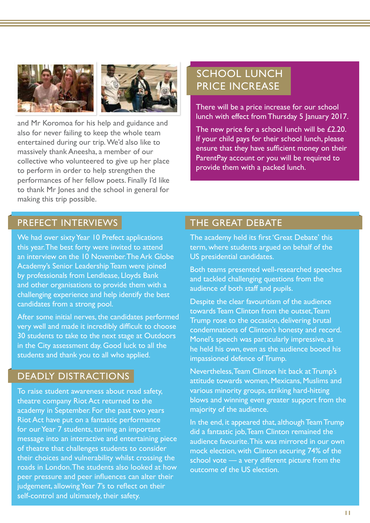



and Mr Koromoa for his help and guidance and also for never failing to keep the whole team entertained during our trip. We'd also like to massively thank Aneesha, a member of our collective who volunteered to give up her place to perform in order to help strengthen the performances of her fellow poets. Finally I'd like to thank Mr Jones and the school in general for making this trip possible.

## SCHOOL LUNCH PRICE INCREASE

There will be a price increase for our school lunch with effect from Thursday 5 January 2017.

The new price for a school lunch will be £2.20. If your child pays for their school lunch, please ensure that they have sufficient money on their ParentPay account or you will be required to provide them with a packed lunch.

### PREFECT INTERVIEWS

We had over sixty Year 10 Prefect applications this year. The best forty were invited to attend an interview on the 10 November. The Ark Globe Academy's Senior Leadership Team were joined by professionals from Lendlease, Lloyds Bank and other organisations to provide them with a challenging experience and help identify the best candidates from a strong pool.

After some initial nerves, the candidates performed very well and made it incredibly difficult to choose 30 students to take to the next stage at Outdoors in the City assessment day. Good luck to all the students and thank you to all who applied.

### DEADLY DISTRACTIONS

To raise student awareness about road safety, theatre company Riot Act returned to the academy in September. For the past two years Riot Act have put on a fantastic performance for our Year 7 students, turning an important message into an interactive and entertaining piece of theatre that challenges students to consider their choices and vulnerability whilst crossing the roads in London. The students also looked at how peer pressure and peer influences can alter their judgement, allowing Year 7's to reflect on their self-control and ultimately, their safety.

### THE GREAT DEBATE

The academy held its first 'Great Debate' this term, where students argued on behalf of the US presidential candidates.

Both teams presented well-researched speeches and tackled challenging questions from the audience of both staff and pupils.

Despite the clear favouritism of the audience towards Team Clinton from the outset, Team Trump rose to the occasion, delivering brutal condemnations of Clinton's honesty and record. Monel's speech was particularly impressive, as he held his own, even as the audience booed his impassioned defence of Trump.

Nevertheless, Team Clinton hit back at Trump's attitude towards women, Mexicans, Muslims and various minority groups, striking hard-hitting blows and winning even greater support from the majority of the audience.

In the end, it appeared that, although Team Trump did a fantastic job, Team Clinton remained the audience favourite. This was mirrored in our own mock election, with Clinton securing 74% of the school vote — a very different picture from the outcome of the US election.